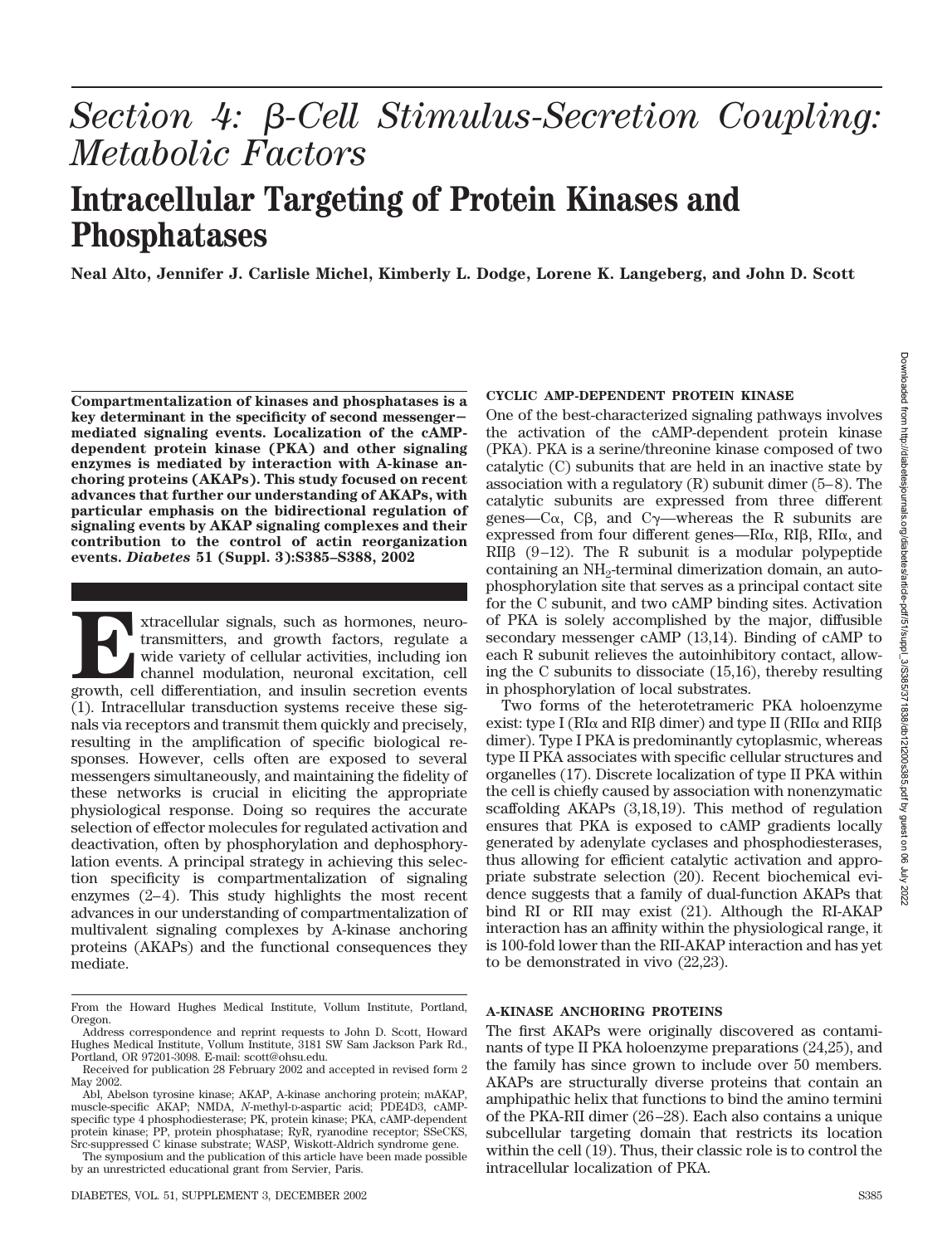# Section 4:  $\beta$ -Cell Stimulus-Secretion Coupling: *Metabolic Factors*

## **Intracellular Targeting of Protein Kinases and Phosphatases**

**Neal Alto, Jennifer J. Carlisle Michel, Kimberly L. Dodge, Lorene K. Langeberg, and John D. Scott**

**Compartmentalization of kinases and phosphatases is a key determinant in the specificity of second messenger mediated signaling events. Localization of the cAMPdependent protein kinase (PKA) and other signaling enzymes is mediated by interaction with A-kinase anchoring proteins (AKAPs). This study focused on recent advances that further our understanding of AKAPs, with particular emphasis on the bidirectional regulation of signaling events by AKAP signaling complexes and their contribution to the control of actin reorganization events.** *Diabetes* **51 (Suppl. 3):S385–S388, 2002**

**Extracellular signals**, such as hormones, neuro-<br>transmitters, and growth factors, regulate a<br>wide variety of cellular activities, including ion<br>channel modulation, neuronal excitation, cell<br>growth, cell differentiation, transmitters, and growth factors, regulate a wide variety of cellular activities, including ion channel modulation, neuronal excitation, cell (1). Intracellular transduction systems receive these signals via receptors and transmit them quickly and precisely, resulting in the amplification of specific biological responses. However, cells often are exposed to several messengers simultaneously, and maintaining the fidelity of these networks is crucial in eliciting the appropriate physiological response. Doing so requires the accurate selection of effector molecules for regulated activation and deactivation, often by phosphorylation and dephosphorylation events. A principal strategy in achieving this selection specificity is compartmentalization of signaling enzymes (2–4). This study highlights the most recent advances in our understanding of compartmentalization of multivalent signaling complexes by A-kinase anchoring proteins (AKAPs) and the functional consequences they mediate.

by an unrestricted educational grant from Servier, Paris.

### **CYCLIC AMP-DEPENDENT PROTEIN KINASE**

One of the best-characterized signaling pathways involves the activation of the cAMP-dependent protein kinase (PKA). PKA is a serine/threonine kinase composed of two catalytic (C) subunits that are held in an inactive state by association with a regulatory (R) subunit dimer (5–8). The catalytic subunits are expressed from three different genes—C $\alpha$ , C $\beta$ , and C $\gamma$ —whereas the R subunits are expressed from four different genes— $\text{R}I\alpha$ ,  $\text{R}I\beta$ ,  $\text{R}I\alpha$ , and  $RII\beta$  (9–12). The R subunit is a modular polypeptide containing an NH2-terminal dimerization domain, an autophosphorylation site that serves as a principal contact site for the C subunit, and two cAMP binding sites. Activation of PKA is solely accomplished by the major, diffusible secondary messenger cAMP (13,14). Binding of cAMP to each R subunit relieves the autoinhibitory contact, allowing the C subunits to dissociate (15,16), thereby resulting in phosphorylation of local substrates.

Two forms of the heterotetrameric PKA holoenzyme exist: type I (RI $\alpha$  and RI $\beta$  dimer) and type II (RII $\alpha$  and RII $\beta$ dimer). Type I PKA is predominantly cytoplasmic, whereas type II PKA associates with specific cellular structures and organelles (17). Discrete localization of type II PKA within the cell is chiefly caused by association with nonenzymatic scaffolding AKAPs (3,18,19). This method of regulation ensures that PKA is exposed to cAMP gradients locally generated by adenylate cyclases and phosphodiesterases, thus allowing for efficient catalytic activation and appropriate substrate selection (20). Recent biochemical evidence suggests that a family of dual-function AKAPs that bind RI or RII may exist (21). Although the RI-AKAP interaction has an affinity within the physiological range, it is 100-fold lower than the RII-AKAP interaction and has yet to be demonstrated in vivo (22,23).

#### **A-KINASE ANCHORING PROTEINS**

The first AKAPs were originally discovered as contaminants of type II PKA holoenzyme preparations (24,25), and the family has since grown to include over 50 members. AKAPs are structurally diverse proteins that contain an amphipathic helix that functions to bind the amino termini of the PKA-RII dimer (26–28). Each also contains a unique subcellular targeting domain that restricts its location within the cell (19). Thus, their classic role is to control the intracellular localization of PKA.

From the Howard Hughes Medical Institute, Vollum Institute, Portland, Oregon.

Address correspondence and reprint requests to John D. Scott, Howard Hughes Medical Institute, Vollum Institute, 3181 SW Sam Jackson Park Rd., Portland, OR 97201-3098. E-mail: scott@ohsu.edu.

Received for publication 28 February 2002 and accepted in revised form 2 May 2002.

Abl, Abelson tyrosine kinase; AKAP, A-kinase anchoring protein; mAKAP, muscle-specific AKAP; NMDA, *N*-methyl-D-aspartic acid; PDE4D3, cAMPspecific type 4 phosphodiesterase; PK, protein kinase; PKA, cAMP-dependent protein kinase; PP, protein phosphatase; RyR, ryanodine receptor; SSeCKS, Src-suppressed C kinase substrate; WASP, Wiskott-Aldrich syndrome gene. The symposium and the publication of this article have been made possible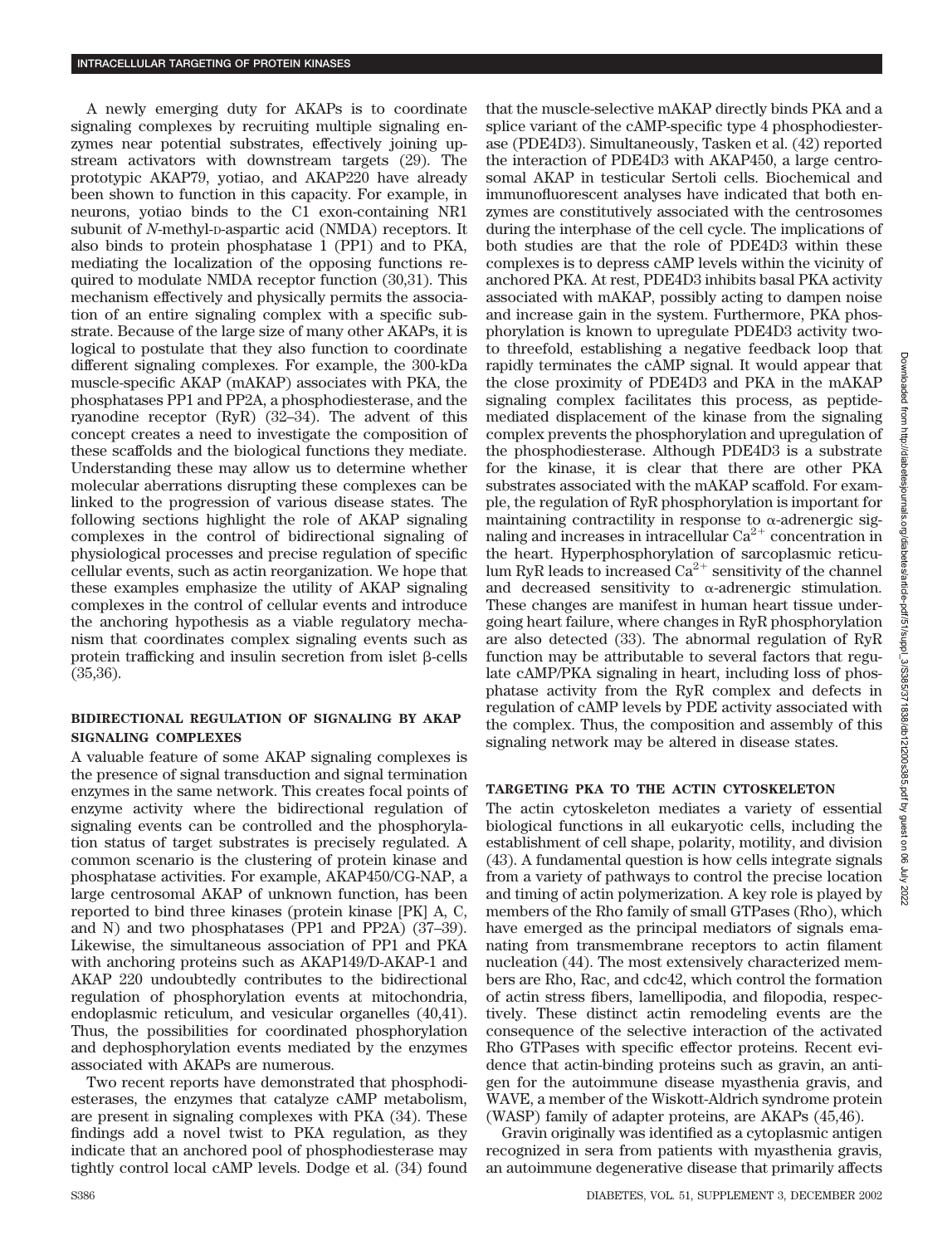A newly emerging duty for AKAPs is to coordinate signaling complexes by recruiting multiple signaling enzymes near potential substrates, effectively joining upstream activators with downstream targets (29). The prototypic AKAP79, yotiao, and AKAP220 have already been shown to function in this capacity. For example, in neurons, yotiao binds to the C1 exon-containing NR1 subunit of *N*-methyl-p-aspartic acid (NMDA) receptors. It also binds to protein phosphatase 1 (PP1) and to PKA, mediating the localization of the opposing functions required to modulate NMDA receptor function (30,31). This mechanism effectively and physically permits the association of an entire signaling complex with a specific substrate. Because of the large size of many other AKAPs, it is logical to postulate that they also function to coordinate different signaling complexes. For example, the 300-kDa muscle-specific AKAP (mAKAP) associates with PKA, the phosphatases PP1 and PP2A, a phosphodiesterase, and the ryanodine receptor (RyR) (32–34). The advent of this concept creates a need to investigate the composition of these scaffolds and the biological functions they mediate. Understanding these may allow us to determine whether molecular aberrations disrupting these complexes can be linked to the progression of various disease states. The following sections highlight the role of AKAP signaling complexes in the control of bidirectional signaling of physiological processes and precise regulation of specific cellular events, such as actin reorganization. We hope that these examples emphasize the utility of AKAP signaling complexes in the control of cellular events and introduce the anchoring hypothesis as a viable regulatory mechanism that coordinates complex signaling events such as protein trafficking and insulin secretion from islet  $\beta$ -cells (35,36).

#### **BIDIRECTIONAL REGULATION OF SIGNALING BY AKAP SIGNALING COMPLEXES**

A valuable feature of some AKAP signaling complexes is the presence of signal transduction and signal termination enzymes in the same network. This creates focal points of enzyme activity where the bidirectional regulation of signaling events can be controlled and the phosphorylation status of target substrates is precisely regulated. A common scenario is the clustering of protein kinase and phosphatase activities. For example, AKAP450/CG-NAP, a large centrosomal AKAP of unknown function, has been reported to bind three kinases (protein kinase [PK] A, C, and N) and two phosphatases (PP1 and PP2A) (37–39). Likewise, the simultaneous association of PP1 and PKA with anchoring proteins such as AKAP149/D-AKAP-1 and AKAP 220 undoubtedly contributes to the bidirectional regulation of phosphorylation events at mitochondria, endoplasmic reticulum, and vesicular organelles (40,41). Thus, the possibilities for coordinated phosphorylation and dephosphorylation events mediated by the enzymes associated with AKAPs are numerous.

Two recent reports have demonstrated that phosphodiesterases, the enzymes that catalyze cAMP metabolism, are present in signaling complexes with PKA (34). These findings add a novel twist to PKA regulation, as they indicate that an anchored pool of phosphodiesterase may tightly control local cAMP levels. Dodge et al. (34) found that the muscle-selective mAKAP directly binds PKA and a splice variant of the cAMP-specific type 4 phosphodiesterase (PDE4D3). Simultaneously, Tasken et al. (42) reported the interaction of PDE4D3 with AKAP450, a large centrosomal AKAP in testicular Sertoli cells. Biochemical and immunofluorescent analyses have indicated that both enzymes are constitutively associated with the centrosomes during the interphase of the cell cycle. The implications of both studies are that the role of PDE4D3 within these complexes is to depress cAMP levels within the vicinity of anchored PKA. At rest, PDE4D3 inhibits basal PKA activity associated with mAKAP, possibly acting to dampen noise and increase gain in the system. Furthermore, PKA phosphorylation is known to upregulate PDE4D3 activity twoto threefold, establishing a negative feedback loop that rapidly terminates the cAMP signal. It would appear that the close proximity of PDE4D3 and PKA in the mAKAP signaling complex facilitates this process, as peptidemediated displacement of the kinase from the signaling complex prevents the phosphorylation and upregulation of the phosphodiesterase. Although PDE4D3 is a substrate for the kinase, it is clear that there are other PKA substrates associated with the mAKAP scaffold. For example, the regulation of RyR phosphorylation is important for maintaining contractility in response to  $\alpha$ -adrenergic signaling and increases in intracellular  $Ca^{2+}$  concentration in the heart. Hyperphosphorylation of sarcoplasmic reticulum RyR leads to increased  $Ca^{2+}$  sensitivity of the channel and decreased sensitivity to  $\alpha$ -adrenergic stimulation. These changes are manifest in human heart tissue undergoing heart failure, where changes in RyR phosphorylation are also detected (33). The abnormal regulation of RyR function may be attributable to several factors that regulate cAMP/PKA signaling in heart, including loss of phosphatase activity from the RyR complex and defects in regulation of cAMP levels by PDE activity associated with the complex. Thus, the composition and assembly of this signaling network may be altered in disease states.

#### **TARGETING PKA TO THE ACTIN CYTOSKELETON**

The actin cytoskeleton mediates a variety of essential biological functions in all eukaryotic cells, including the establishment of cell shape, polarity, motility, and division (43). A fundamental question is how cells integrate signals from a variety of pathways to control the precise location and timing of actin polymerization. A key role is played by members of the Rho family of small GTPases (Rho), which have emerged as the principal mediators of signals emanating from transmembrane receptors to actin filament nucleation (44). The most extensively characterized members are Rho, Rac, and cdc42, which control the formation of actin stress fibers, lamellipodia, and filopodia, respectively. These distinct actin remodeling events are the consequence of the selective interaction of the activated Rho GTPases with specific effector proteins. Recent evidence that actin-binding proteins such as gravin, an antigen for the autoimmune disease myasthenia gravis, and WAVE, a member of the Wiskott-Aldrich syndrome protein (WASP) family of adapter proteins, are AKAPs (45,46).

Gravin originally was identified as a cytoplasmic antigen recognized in sera from patients with myasthenia gravis, an autoimmune degenerative disease that primarily affects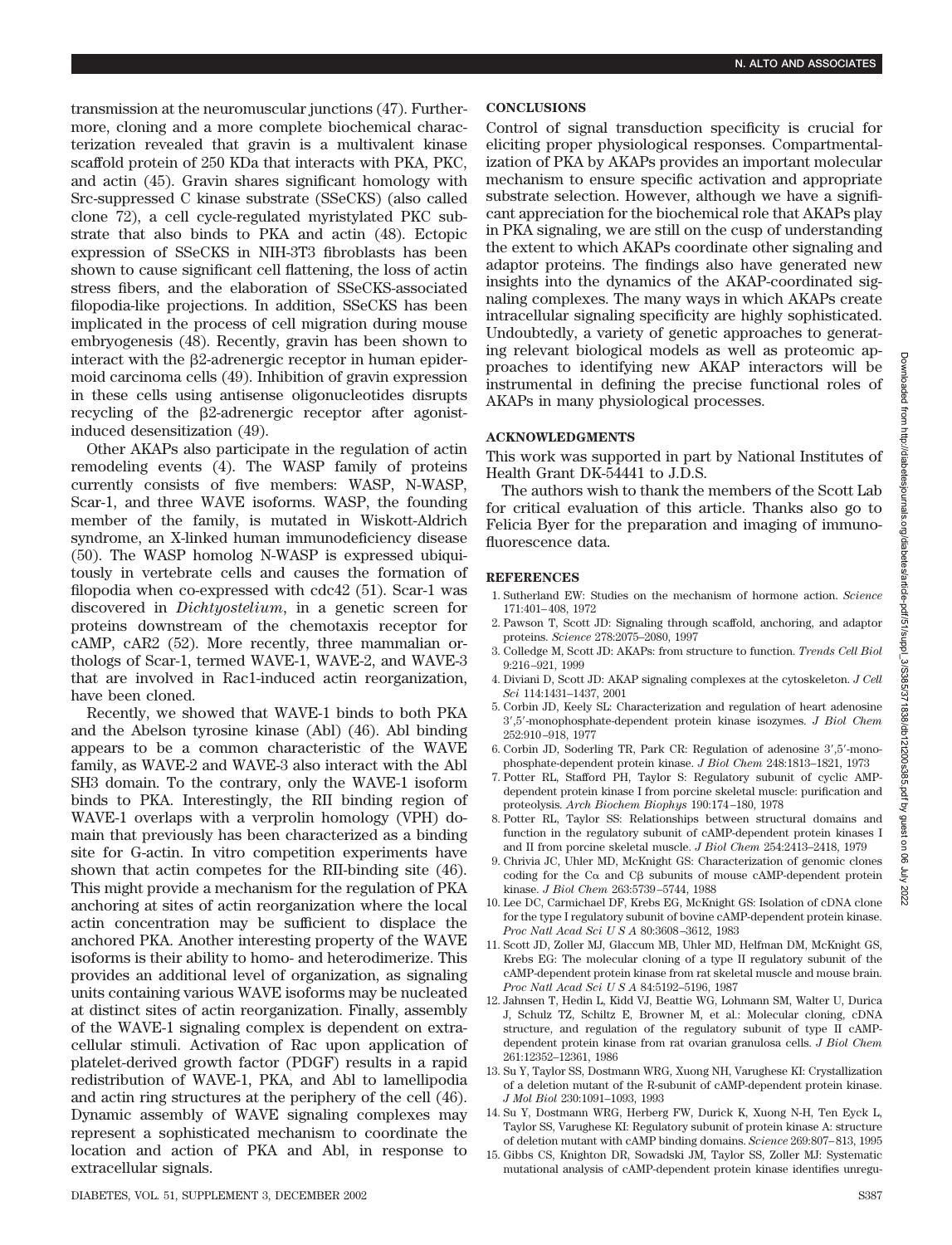transmission at the neuromuscular junctions (47). Furthermore, cloning and a more complete biochemical characterization revealed that gravin is a multivalent kinase scaffold protein of 250 KDa that interacts with PKA, PKC, and actin (45). Gravin shares significant homology with Src-suppressed C kinase substrate (SSeCKS) (also called clone 72), a cell cycle-regulated myristylated PKC substrate that also binds to PKA and actin (48). Ectopic expression of SSeCKS in NIH-3T3 fibroblasts has been shown to cause significant cell flattening, the loss of actin stress fibers, and the elaboration of SSeCKS-associated filopodia-like projections. In addition, SSeCKS has been implicated in the process of cell migration during mouse embryogenesis (48). Recently, gravin has been shown to interact with the  $\beta$ 2-adrenergic receptor in human epidermoid carcinoma cells (49). Inhibition of gravin expression in these cells using antisense oligonucleotides disrupts  $recycling$  of the  $\beta$ 2-adrenergic receptor after agonistinduced desensitization (49).

Other AKAPs also participate in the regulation of actin remodeling events (4). The WASP family of proteins currently consists of five members: WASP, N-WASP, Scar-1, and three WAVE isoforms. WASP, the founding member of the family, is mutated in Wiskott-Aldrich syndrome, an X-linked human immunodeficiency disease (50). The WASP homolog N-WASP is expressed ubiquitously in vertebrate cells and causes the formation of filopodia when co-expressed with cdc42 (51). Scar-1 was discovered in *Dichtyostelium*, in a genetic screen for proteins downstream of the chemotaxis receptor for cAMP, cAR2 (52). More recently, three mammalian orthologs of Scar-1, termed WAVE-1, WAVE-2, and WAVE-3 that are involved in Rac1-induced actin reorganization, have been cloned.

Recently, we showed that WAVE-1 binds to both PKA and the Abelson tyrosine kinase (Abl) (46). Abl binding appears to be a common characteristic of the WAVE family, as WAVE-2 and WAVE-3 also interact with the Abl SH3 domain. To the contrary, only the WAVE-1 isoform binds to PKA. Interestingly, the RII binding region of WAVE-1 overlaps with a verprolin homology (VPH) domain that previously has been characterized as a binding site for G-actin. In vitro competition experiments have shown that actin competes for the RII-binding site (46). This might provide a mechanism for the regulation of PKA anchoring at sites of actin reorganization where the local actin concentration may be sufficient to displace the anchored PKA. Another interesting property of the WAVE isoforms is their ability to homo- and heterodimerize. This provides an additional level of organization, as signaling units containing various WAVE isoforms may be nucleated at distinct sites of actin reorganization. Finally, assembly of the WAVE-1 signaling complex is dependent on extracellular stimuli. Activation of Rac upon application of platelet-derived growth factor (PDGF) results in a rapid redistribution of WAVE-1, PKA, and Abl to lamellipodia and actin ring structures at the periphery of the cell (46). Dynamic assembly of WAVE signaling complexes may represent a sophisticated mechanism to coordinate the location and action of PKA and Abl, in response to extracellular signals.

#### **CONCLUSIONS**

Control of signal transduction specificity is crucial for eliciting proper physiological responses. Compartmentalization of PKA by AKAPs provides an important molecular mechanism to ensure specific activation and appropriate substrate selection. However, although we have a significant appreciation for the biochemical role that AKAPs play in PKA signaling, we are still on the cusp of understanding the extent to which AKAPs coordinate other signaling and adaptor proteins. The findings also have generated new insights into the dynamics of the AKAP-coordinated signaling complexes. The many ways in which AKAPs create intracellular signaling specificity are highly sophisticated. Undoubtedly, a variety of genetic approaches to generating relevant biological models as well as proteomic approaches to identifying new AKAP interactors will be instrumental in defining the precise functional roles of AKAPs in many physiological processes.

#### **ACKNOWLEDGMENTS**

This work was supported in part by National Institutes of Health Grant DK-54441 to J.D.S.

The authors wish to thank the members of the Scott Lab for critical evaluation of this article. Thanks also go to Felicia Byer for the preparation and imaging of immunofluorescence data.

#### **REFERENCES**

- 1. Sutherland EW: Studies on the mechanism of hormone action. *Science* 171:401–408, 1972
- 2. Pawson T, Scott JD: Signaling through scaffold, anchoring, and adaptor proteins. *Science* 278:2075–2080, 1997
- 3. Colledge M, Scott JD: AKAPs: from structure to function. *Trends Cell Biol* 9:216–921, 1999
- 4. Diviani D, Scott JD: AKAP signaling complexes at the cytoskeleton. *J Cell Sci* 114:1431–1437, 2001
- 5. Corbin JD, Keely SL: Characterization and regulation of heart adenosine 3,5-monophosphate-dependent protein kinase isozymes. *J Biol Chem* 252:910–918, 1977
- 6. Corbin JD, Soderling TR, Park CR: Regulation of adenosine  $3',5'$ -monophosphate-dependent protein kinase. *J Biol Chem* 248:1813–1821, 1973
- 7. Potter RL, Stafford PH, Taylor S: Regulatory subunit of cyclic AMPdependent protein kinase I from porcine skeletal muscle: purification and proteolysis. *Arch Biochem Biophys* 190:174–180, 1978
- 8. Potter RL, Taylor SS: Relationships between structural domains and function in the regulatory subunit of cAMP-dependent protein kinases I and II from porcine skeletal muscle. *J Biol Chem* 254:2413–2418, 1979
- 9. Chrivia JC, Uhler MD, McKnight GS: Characterization of genomic clones coding for the  $Ca$  and  $C\beta$  subunits of mouse cAMP-dependent protein kinase. *J Biol Chem* 263:5739–5744, 1988
- 10. Lee DC, Carmichael DF, Krebs EG, McKnight GS: Isolation of cDNA clone for the type I regulatory subunit of bovine cAMP-dependent protein kinase. *Proc Natl Acad SciUSA* 80:3608–3612, 1983
- 11. Scott JD, Zoller MJ, Glaccum MB, Uhler MD, Helfman DM, McKnight GS, Krebs EG: The molecular cloning of a type II regulatory subunit of the cAMP-dependent protein kinase from rat skeletal muscle and mouse brain. *Proc Natl Acad SciUSA* 84:5192–5196, 1987
- 12. Jahnsen T, Hedin L, Kidd VJ, Beattie WG, Lohmann SM, Walter U, Durica J, Schulz TZ, Schiltz E, Browner M, et al.: Molecular cloning, cDNA structure, and regulation of the regulatory subunit of type II cAMPdependent protein kinase from rat ovarian granulosa cells. *J Biol Chem* 261:12352–12361, 1986
- 13. Su Y, Taylor SS, Dostmann WRG, Xuong NH, Varughese KI: Crystallization of a deletion mutant of the R-subunit of cAMP-dependent protein kinase. *J Mol Biol* 230:1091–1093, 1993
- 14. Su Y, Dostmann WRG, Herberg FW, Durick K, Xuong N-H, Ten Eyck L, Taylor SS, Varughese KI: Regulatory subunit of protein kinase A: structure of deletion mutant with cAMP binding domains. *Science* 269:807–813, 1995
- 15. Gibbs CS, Knighton DR, Sowadski JM, Taylor SS, Zoller MJ: Systematic mutational analysis of cAMP-dependent protein kinase identifies unregu-